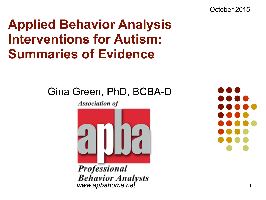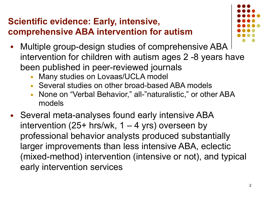### **Scientific evidence: Early, intensive, comprehensive ABA intervention for autism**



- Multiple group-design studies of comprehensive ABA intervention for children with autism ages 2 -8 years have been published in peer-reviewed journals
	- Many studies on Lovaas/UCLA model
	- Several studies on other broad-based ABA models
	- None on "Verbal Behavior," all-"naturalistic," or other ABA models
- Several meta-analyses found early intensive ABA intervention  $(25+$  hrs/wk, 1 – 4 yrs) overseen by professional behavior analysts produced substantially larger improvements than less intensive ABA, eclectic (mixed-method) intervention (intensive or not), and typical early intervention services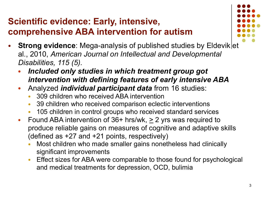### **Scientific evidence: Early, intensive, comprehensive ABA intervention for autism**



- **Strong evidence:** Mega-analysis of published studies by Eldevik et al., 2010, *American Journal on Intellectual and Developmental Disabilities, 115 (5).*
	- Included only studies in which treatment group got *intervention with defining features of early intensive ABA*
	- Analyzed *individual participant data* from 16 studies:
		- 309 children who received ABA intervention
		- 39 children who received comparison eclectic interventions
		- 105 children in control groups who received standard services
	- Found ABA intervention of  $36+$  hrs/wk,  $\geq 2$  yrs was required to produce reliable gains on measures of cognitive and adaptive skills (defined as +27 and +21 points, respectively)
		- Most children who made smaller gains nonetheless had clinically significant improvements
		- Effect sizes for ABA were comparable to those found for psychological and medical treatments for depression, OCD, bulimia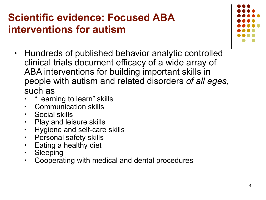## **Scientific evidence: Focused ABA interventions for autism**

- Hundreds of published behavior analytic controlled clinical trials document efficacy of a wide array of ABA interventions for building important skills in people with autism and related disorders *of all ages*, such as
	- "Learning to learn" skills
	- Communication skills
	- Social skills
	- Play and leisure skills
	- Hygiene and self-care skills
	- Personal safety skills
	- Eating a healthy diet
	- **Sleeping**
	- Cooperating with medical and dental procedures

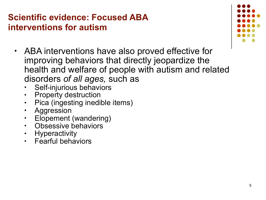### **Scientific evidence: Focused ABA interventions for autism**

- ABA interventions have also proved effective for improving behaviors that directly jeopardize the health and welfare of people with autism and related disorders *of all ages,* such as
	- Self-injurious behaviors
	- Property destruction
	- Pica (ingesting inedible items)
	- **Aggression**
	- Elopement (wandering)
	- Obsessive behaviors
	- **Hyperactivity**
	- Fearful behaviors

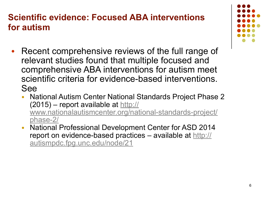#### **Scientific evidence: Focused ABA interventions for autism**

- Recent comprehensive reviews of the full range of relevant studies found that multiple focused and comprehensive ABA interventions for autism meet scientific criteria for evidence-based interventions. See
	- National Autism Center National Standards Project Phase 2  $(2015)$  – report available at http:// [www.nationalautismcenter.org/national-standards-project/](http://www.nationalautismcenter.org/national-standards-project/phase-2/) phase-2/
	- National Professional Development Center for ASD 2014 [report on evidence-based practices – available at http://](http://autismpdc.fpg.unc.edu/node/21) autismpdc.fpg.unc.edu/node/21

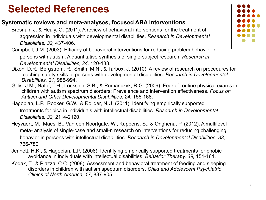#### **Systematic reviews and meta-analyses, focused ABA interventions**

- Brosnan, J. & Healy, O. (2011). A review of behavioral interventions for the treatment of aggression in individuals with developmental disabilities. *Research in Developmental Disabilities, 32,* 437-406.
- Campbell, J.M. (2003). Efficacy of behavioral interventions for reducing problem behavior in persons with autism: A quantitative synthesis of single-subject research. *Research in Developmental Disabilities, 24,* 120-138.
- Dixon, D.R., Bergstrom, R., Smith, M.N., & Tarbox, J. (2010). A review of research on procedures for teaching safety skills to persons with developmental disabilities. *Research in Developmental Disabilities, 31*, 985-994.
- Gillis, J.M., Natof, T.H., Lockshin, S.B., & Romanczyk, R.G. (2009). Fear of routine physical exams in children with autism spectrum disorders: Prevalence and intervention effectiveness. *Focus on Autism and Other Developmental Disabilities, 24,* 156-168.
- Hagopian, L.P., Rooker, G.W., & Rolider, N.U. (2011). Identifying empirically supported treatments for pica in individuals with intellectual disabilities. *Research in Developmental Disabilities, 32,* 2114-2120.
- Heyvaert, M., Maes, B., Van den Noortgate, W., Kuppens, S., & Onghena, P. (2012). A multilevel meta- analysis of single-case and small-n research on interventions for reducing challenging behavior in persons with intellectual disabilities. *Research in Developmental Disabilities, 33,* 766-780.
- Jennett, H.K., & Hagopian, L.P. (2008). Identifying empirically supported treatments for phobic avoidance in individuals with intellectual disabilities. *Behavior Therapy, 39,* 151-161.
- Kodak, T., & Piazza, C.C. (2008). Assessment and behavioral treatment of feeding and sleeping disorders in children with autism spectrum disorders. *Child and Adolescent Psychiatric Clinics of North America, 17*, 887-905.

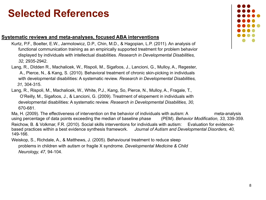#### **Systematic reviews and meta-analyses, focused ABA interventions**

- Kurtz, P.F., Boelter, E.W., Jarmolowicz, D.P., Chin, M.D., & Hagopian, L.P. (2011). An analysis of functional communication training as an empirically supported treatment for problem behavior displayed by individuals with intellectual disabilities. *Research in Developmental Disabilities, 32,* 2935-2942.
- Lang, R., DIdden R., Machalicek, W., Rispoli, M., Sigafoos, J., Lancioni, G., Mulloy, A., Regester, A., Pierce, N., & Kang, S. (2010). Behavioral treatment of chronic skin-picking in individuals with developmental disabilities: A systematic review. *Research in Developmental Disabilities, 31,* 304-315.
- Lang, R., Rispoli, M., Machalicek, W., White, P.J., Kang, So, Pierce, N., Mulloy, A., Fragale, T., O'Reilly, M., Sigafoos, J., & Lancioni, G. (2009). Treatment of elopement in individuals with developmental disabilities: A systematic review. *Research in Developmental Disabilities, 30,* 670-681.

 Ma, H. (2009). The effectiveness of intervention on the behavior of individuals with autism: A meta-analysis using percentage of data points exceeding the median of baseline phase (PEM). *Behavior Modification, 33*, 339-359. Reichow, B. & Volkmar, F.R. (2010). Social skills interventions for individuals with autism: Evaluation for evidencebased practices within a best evidence synthesis framework. *Journal of Autism and Developmental Disorders, 40,* 149-166.

 Weiskop, S., Richdale, A., & Matthews, J. (2005). Behavioural treatment to reduce sleep problems in children with autism or fragile X syndrome. *Developmental Medicine & Child Neurology, 47,* 94-104.

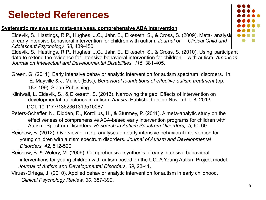#### **Systematic reviews and meta-analyses, comprehensive ABA intervention**

 Eldevik, S., Hastings, R.P., Hughes, J.C., Jahr, E., Eikeseth, S., & Cross, S. (2009). Meta- analysis of early intensive behavioral intervention for children with autism. *Journal of Clinical Child and Adolescent Psychology, 38,* 439-450.

 Eldevik, S., Hastings, R.P., Hughes, J.C., Jahr, E., Eikeseth, S., & Cross, S. (2010). Using participant data to extend the evidence for intensive behavioral intervention for children with autism. *American Journal on Intellectual and Developmental Disabilities, 115,* 381-405.

- Green, G. (2011). Early intensive behavior analytic intervention for autism spectrum disorders. In E. Mayville & J. Mulick (Eds.), *Behavioral foundations of effective autism treatment* (pp. 183-199). Sloan Publishing.
- Klintwall, L, Eldevik, S., & Eikeseth, S. (2013). Narrowing the gap: Effects of intervention on developmental trajectories in autism. *Autism*. Published online November 8, 2013. DOI: 10.1177/1362361313510067
- Peters-Scheffer, N., Didden, R., Korzilius, H., & Sturmey, P. (2011). A meta-analytic study on the effectiveness of comprehensive ABA-based early intervention programs for children with Autism. Spectrum Disorders. *Research in Autism Spectrum Disorders, 5,* 60-69.
- Reichow, B. (2012). Overview of meta-analyses on early intensive behavioral intervention for young children with autism spectrum disorders. *Journal of Autism and Developmental Disorders, 42*, 512-520.
- Reichow, B. & Wolery, M. (2009). Comprehensive synthesis of early intensive behavioral interventions for young children with autism based on the UCLA Young Autism Project model.  *Journal of Autism and Developmental Disorders, 39,* 23-41.
- Virués-Ortega, J. (2010). Applied behavior analytic intervention for autism in early childhood. *Clinical Psychology Review, 30*, 387-399.